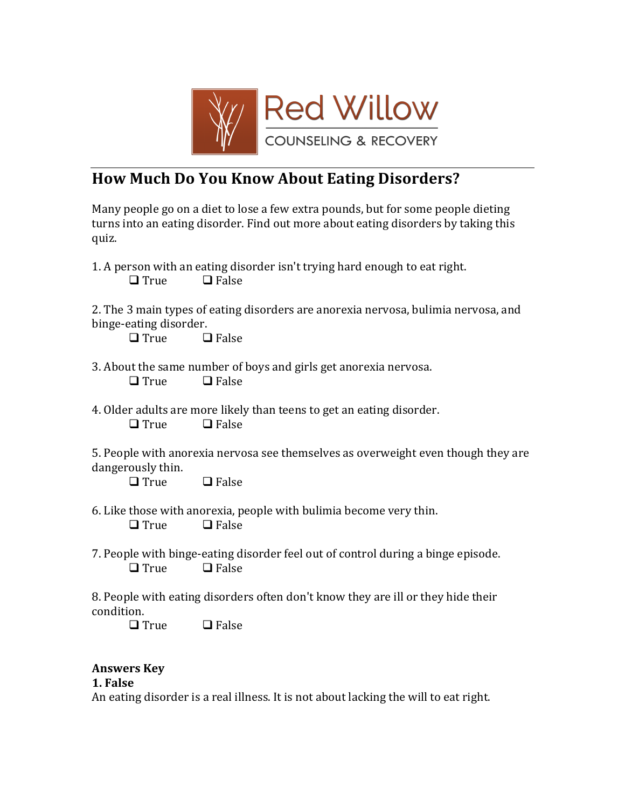

# **How Much Do You Know About Eating Disorders?**

Many people go on a diet to lose a few extra pounds, but for some people dieting turns into an eating disorder. Find out more about eating disorders by taking this quiz.

1. A person with an eating disorder isn't trying hard enough to eat right.  $\Box$  True  $\Box$  False

2. The 3 main types of eating disorders are anorexia nervosa, bulimia nervosa, and binge-eating disorder.

 $\Box$  True  $\Box$  False

- 3. About the same number of boys and girls get anorexia nervosa.  $\Box$  True  $\Box$  False
- 4. Older adults are more likely than teens to get an eating disorder.  $\Box$  True  $\Box$  False

5. People with anorexia nervosa see themselves as overweight even though they are dangerously thin.

 $\Box$  True  $\Box$  False

6. Like those with anorexia, people with bulimia become very thin.  $\Box$  True  $\Box$  False

7. People with binge-eating disorder feel out of control during a binge episode.  $\Box$  True  $\Box$  False

8. People with eating disorders often don't know they are ill or they hide their condition.

 $\Box$  True  $\Box$  False

## **Answers!Key**

#### **1. False**

An eating disorder is a real illness. It is not about lacking the will to eat right.